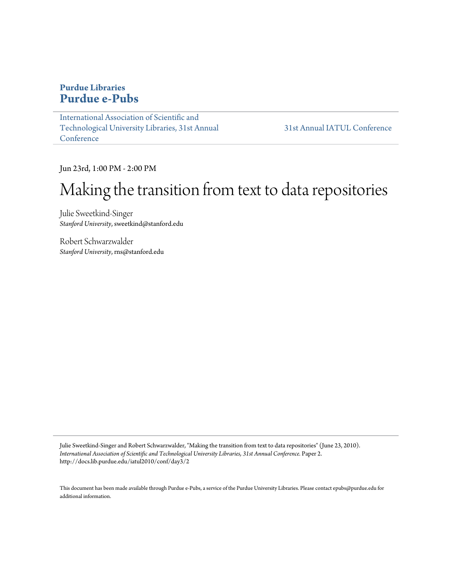### **Purdue Libraries [Purdue e-Pubs](http://docs.lib.purdue.edu)**

[International Association of Scientific and](http://docs.lib.purdue.edu/iatul2010) [Technological University Libraries, 31st Annual](http://docs.lib.purdue.edu/iatul2010) [Conference](http://docs.lib.purdue.edu/iatul2010)

[31st Annual IATUL Conference](http://docs.lib.purdue.edu/iatul2010/conf)

Jun 23rd, 1:00 PM - 2:00 PM

# Making the transition from text to data repositories

Julie Sweetkind-Singer *Stanford University*, sweetkind@stanford.edu

Robert Schwarzwalder *Stanford University*, rns@stanford.edu

Julie Sweetkind-Singer and Robert Schwarzwalder, "Making the transition from text to data repositories" (June 23, 2010). *International Association of Scientific and Technological University Libraries, 31st Annual Conference.* Paper 2. http://docs.lib.purdue.edu/iatul2010/conf/day3/2

This document has been made available through Purdue e-Pubs, a service of the Purdue University Libraries. Please contact epubs@purdue.edu for additional information.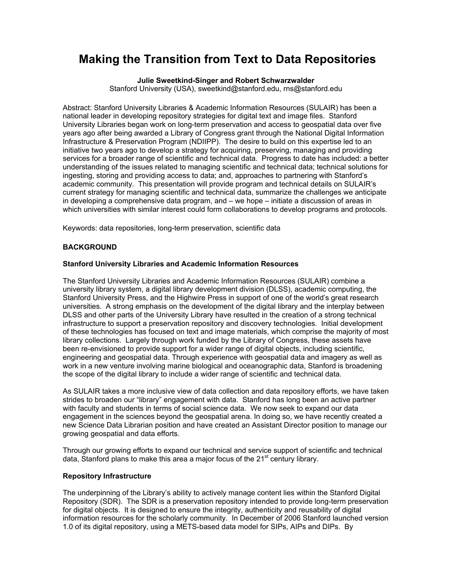## **Making the Transition from Text to Data Repositories**

**Julie Sweetkind-Singer and Robert Schwarzwalder**

Stanford University (USA), sweetkind@stanford.edu, rns@stanford.edu

Abstract: Stanford University Libraries & Academic Information Resources (SULAIR) has been a national leader in developing repository strategies for digital text and image files. Stanford University Libraries began work on long-term preservation and access to geospatial data over five years ago after being awarded a Library of Congress grant through the National Digital Information Infrastructure & Preservation Program (NDIIPP). The desire to build on this expertise led to an initiative two years ago to develop a strategy for acquiring, preserving, managing and providing services for a broader range of scientific and technical data. Progress to date has included: a better understanding of the issues related to managing scientific and technical data; technical solutions for ingesting, storing and providing access to data; and, approaches to partnering with Stanford's academic community. This presentation will provide program and technical details on SULAIR's current strategy for managing scientific and technical data, summarize the challenges we anticipate in developing a comprehensive data program, and – we hope – initiate a discussion of areas in which universities with similar interest could form collaborations to develop programs and protocols.

Keywords: data repositories, long-term preservation, scientific data

#### **BACKGROUND**

#### **Stanford University Libraries and Academic Information Resources**

The Stanford University Libraries and Academic Information Resources (SULAIR) combine a university library system, a digital library development division (DLSS), academic computing, the Stanford University Press, and the Highwire Press in support of one of the world's great research universities. A strong emphasis on the development of the digital library and the interplay between DLSS and other parts of the University Library have resulted in the creation of a strong technical infrastructure to support a preservation repository and discovery technologies. Initial development of these technologies has focused on text and image materials, which comprise the majority of most library collections. Largely through work funded by the Library of Congress, these assets have been re-envisioned to provide support for a wider range of digital objects, including scientific, engineering and geospatial data. Through experience with geospatial data and imagery as well as work in a new venture involving marine biological and oceanographic data, Stanford is broadening the scope of the digital library to include a wider range of scientific and technical data.

As SULAIR takes a more inclusive view of data collection and data repository efforts, we have taken strides to broaden our "library" engagement with data. Stanford has long been an active partner with faculty and students in terms of social science data. We now seek to expand our data engagement in the sciences beyond the geospatial arena. In doing so, we have recently created a new Science Data Librarian position and have created an Assistant Director position to manage our growing geospatial and data efforts.

Through our growing efforts to expand our technical and service support of scientific and technical data, Stanford plans to make this area a major focus of the  $21<sup>st</sup>$  century library.

#### **Repository Infrastructure**

The underpinning of the Library's ability to actively manage content lies within the Stanford Digital Repository (SDR). The SDR is a preservation repository intended to provide long-term preservation for digital objects. It is designed to ensure the integrity, authenticity and reusability of digital information resources for the scholarly community. In December of 2006 Stanford launched version 1.0 of its digital repository, using a METS-based data model for SIPs, AIPs and DIPs. By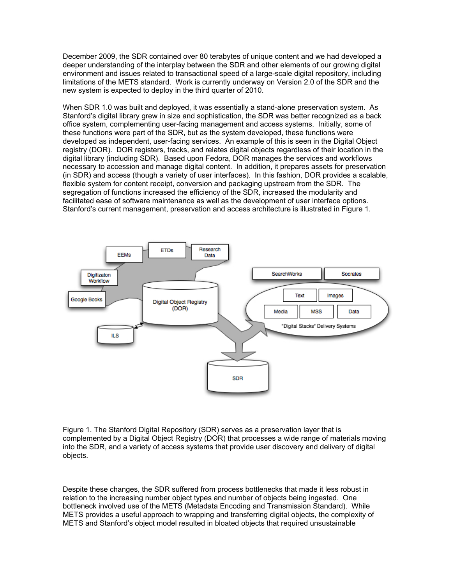December 2009, the SDR contained over 80 terabytes of unique content and we had developed a deeper understanding of the interplay between the SDR and other elements of our growing digital environment and issues related to transactional speed of a large-scale digital repository, including limitations of the METS standard. Work is currently underway on Version 2.0 of the SDR and the new system is expected to deploy in the third quarter of 2010.

When SDR 1.0 was built and deployed, it was essentially a stand-alone preservation system. As Stanford's digital library grew in size and sophistication, the SDR was better recognized as a back office system, complementing user-facing management and access systems. Initially, some of these functions were part of the SDR, but as the system developed, these functions were developed as independent, user-facing services. An example of this is seen in the Digital Object registry (DOR). DOR registers, tracks, and relates digital objects regardless of their location in the digital library (including SDR). Based upon Fedora, DOR manages the services and workflows necessary to accession and manage digital content. In addition, it prepares assets for preservation (in SDR) and access (though a variety of user interfaces). In this fashion, DOR provides a scalable, flexible system for content receipt, conversion and packaging upstream from the SDR. The segregation of functions increased the efficiency of the SDR, increased the modularity and facilitated ease of software maintenance as well as the development of user interface options. Stanford's current management, preservation and access architecture is illustrated in Figure 1.



Figure 1. The Stanford Digital Repository (SDR) serves as a preservation layer that is complemented by a Digital Object Registry (DOR) that processes a wide range of materials moving into the SDR, and a variety of access systems that provide user discovery and delivery of digital objects.

Despite these changes, the SDR suffered from process bottlenecks that made it less robust in relation to the increasing number object types and number of objects being ingested. One bottleneck involved use of the METS (Metadata Encoding and Transmission Standard). While METS provides a useful approach to wrapping and transferring digital objects, the complexity of METS and Stanford's object model resulted in bloated objects that required unsustainable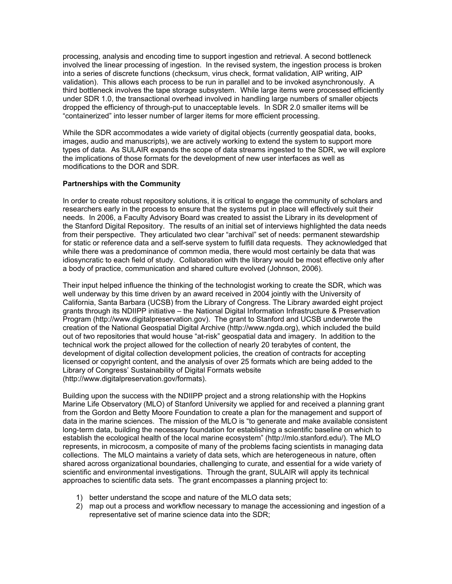processing, analysis and encoding time to support ingestion and retrieval. A second bottleneck involved the linear processing of ingestion. In the revised system, the ingestion process is broken into a series of discrete functions (checksum, virus check, format validation, AIP writing, AIP validation). This allows each process to be run in parallel and to be invoked asynchronously. A third bottleneck involves the tape storage subsystem. While large items were processed efficiently under SDR 1.0, the transactional overhead involved in handling large numbers of smaller objects dropped the efficiency of through-put to unacceptable levels. In SDR 2.0 smaller items will be "containerized" into lesser number of larger items for more efficient processing.

While the SDR accommodates a wide variety of digital objects (currently geospatial data, books, images, audio and manuscripts), we are actively working to extend the system to support more types of data. As SULAIR expands the scope of data streams ingested to the SDR, we will explore the implications of those formats for the development of new user interfaces as well as modifications to the DOR and SDR.

#### **Partnerships with the Community**

In order to create robust repository solutions, it is critical to engage the community of scholars and researchers early in the process to ensure that the systems put in place will effectively suit their needs. In 2006, a Faculty Advisory Board was created to assist the Library in its development of the Stanford Digital Repository. The results of an initial set of interviews highlighted the data needs from their perspective. They articulated two clear "archival" set of needs: permanent stewardship for static or reference data and a self-serve system to fulfill data requests. They acknowledged that while there was a predominance of common media, there would most certainly be data that was idiosyncratic to each field of study. Collaboration with the library would be most effective only after a body of practice, communication and shared culture evolved (Johnson, 2006).

Their input helped influence the thinking of the technologist working to create the SDR, which was well underway by this time driven by an award received in 2004 jointly with the University of California, Santa Barbara (UCSB) from the Library of Congress. The Library awarded eight project grants through its NDIIPP initiative – the National Digital Information Infrastructure & Preservation Program (http://www.digitalpreservation.gov). The grant to Stanford and UCSB underwrote the creation of the National Geospatial Digital Archive (http://www.ngda.org), which included the build out of two repositories that would house "at-risk" geospatial data and imagery. In addition to the technical work the project allowed for the collection of nearly 20 terabytes of content, the development of digital collection development policies, the creation of contracts for accepting licensed or copyright content, and the analysis of over 25 formats which are being added to the Library of Congress' Sustainability of Digital Formats website (http://www.digitalpreservation.gov/formats).

Building upon the success with the NDIIPP project and a strong relationship with the Hopkins Marine Life Observatory (MLO) of Stanford University we applied for and received a planning grant from the Gordon and Betty Moore Foundation to create a plan for the management and support of data in the marine sciences. The mission of the MLO is "to generate and make available consistent long-term data, building the necessary foundation for establishing a scientific baseline on which to establish the ecological health of the local marine ecosystem" (http://mlo.stanford.edu/). The MLO represents, in microcosm, a composite of many of the problems facing scientists in managing data collections. The MLO maintains a variety of data sets, which are heterogeneous in nature, often shared across organizational boundaries, challenging to curate, and essential for a wide variety of scientific and environmental investigations. Through the grant, SULAIR will apply its technical approaches to scientific data sets. The grant encompasses a planning project to:

- 1) better understand the scope and nature of the MLO data sets;
- 2) map out a process and workflow necessary to manage the accessioning and ingestion of a representative set of marine science data into the SDR;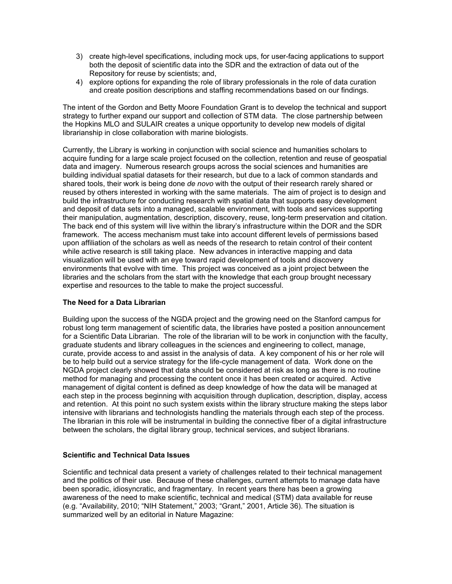- 3) create high-level specifications, including mock ups, for user-facing applications to support both the deposit of scientific data into the SDR and the extraction of data out of the Repository for reuse by scientists; and,
- 4) explore options for expanding the role of library professionals in the role of data curation and create position descriptions and staffing recommendations based on our findings.

The intent of the Gordon and Betty Moore Foundation Grant is to develop the technical and support strategy to further expand our support and collection of STM data. The close partnership between the Hopkins MLO and SULAIR creates a unique opportunity to develop new models of digital librarianship in close collaboration with marine biologists.

Currently, the Library is working in conjunction with social science and humanities scholars to acquire funding for a large scale project focused on the collection, retention and reuse of geospatial data and imagery. Numerous research groups across the social sciences and humanities are building individual spatial datasets for their research, but due to a lack of common standards and shared tools, their work is being done *de novo* with the output of their research rarely shared or reused by others interested in working with the same materials. The aim of project is to design and build the infrastructure for conducting research with spatial data that supports easy development and deposit of data sets into a managed, scalable environment, with tools and services supporting their manipulation, augmentation, description, discovery, reuse, long-term preservation and citation. The back end of this system will live within the library's infrastructure within the DOR and the SDR framework. The access mechanism must take into account different levels of permissions based upon affiliation of the scholars as well as needs of the research to retain control of their content while active research is still taking place. New advances in interactive mapping and data visualization will be used with an eye toward rapid development of tools and discovery environments that evolve with time. This project was conceived as a joint project between the libraries and the scholars from the start with the knowledge that each group brought necessary expertise and resources to the table to make the project successful.

#### **The Need for a Data Librarian**

Building upon the success of the NGDA project and the growing need on the Stanford campus for robust long term management of scientific data, the libraries have posted a position announcement for a Scientific Data Librarian. The role of the librarian will to be work in conjunction with the faculty, graduate students and library colleagues in the sciences and engineering to collect, manage, curate, provide access to and assist in the analysis of data. A key component of his or her role will be to help build out a service strategy for the life-cycle management of data. Work done on the NGDA project clearly showed that data should be considered at risk as long as there is no routine method for managing and processing the content once it has been created or acquired. Active management of digital content is defined as deep knowledge of how the data will be managed at each step in the process beginning with acquisition through duplication, description, display, access and retention. At this point no such system exists within the library structure making the steps labor intensive with librarians and technologists handling the materials through each step of the process. The librarian in this role will be instrumental in building the connective fiber of a digital infrastructure between the scholars, the digital library group, technical services, and subject librarians.

#### **Scientific and Technical Data Issues**

Scientific and technical data present a variety of challenges related to their technical management and the politics of their use. Because of these challenges, current attempts to manage data have been sporadic, idiosyncratic, and fragmentary. In recent years there has been a growing awareness of the need to make scientific, technical and medical (STM) data available for reuse (e.g. "Availability, 2010; "NIH Statement," 2003; "Grant," 2001, Article 36). The situation is summarized well by an editorial in Nature Magazine: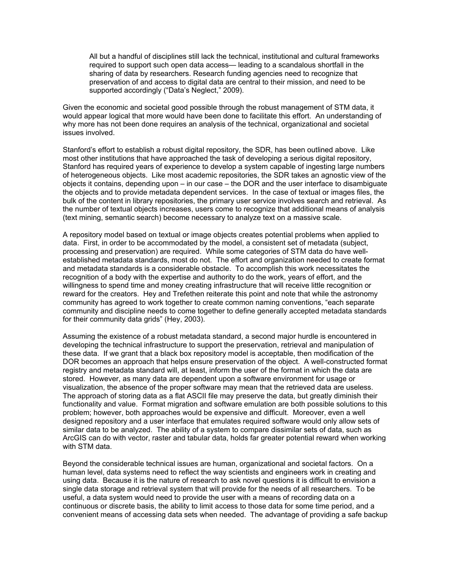All but a handful of disciplines still lack the technical, institutional and cultural frameworks required to support such open data access— leading to a scandalous shortfall in the sharing of data by researchers. Research funding agencies need to recognize that preservation of and access to digital data are central to their mission, and need to be supported accordingly ("Data's Neglect," 2009).

Given the economic and societal good possible through the robust management of STM data, it would appear logical that more would have been done to facilitate this effort. An understanding of why more has not been done requires an analysis of the technical, organizational and societal issues involved.

Stanford's effort to establish a robust digital repository, the SDR, has been outlined above. Like most other institutions that have approached the task of developing a serious digital repository, Stanford has required years of experience to develop a system capable of ingesting large numbers of heterogeneous objects. Like most academic repositories, the SDR takes an agnostic view of the objects it contains, depending upon – in our case – the DOR and the user interface to disambiguate the objects and to provide metadata dependent services. In the case of textual or images files, the bulk of the content in library repositories, the primary user service involves search and retrieval. As the number of textual objects increases, users come to recognize that additional means of analysis (text mining, semantic search) become necessary to analyze text on a massive scale.

A repository model based on textual or image objects creates potential problems when applied to data. First, in order to be accommodated by the model, a consistent set of metadata (subject, processing and preservation) are required. While some categories of STM data do have wellestablished metadata standards, most do not. The effort and organization needed to create format and metadata standards is a considerable obstacle. To accomplish this work necessitates the recognition of a body with the expertise and authority to do the work, years of effort, and the willingness to spend time and money creating infrastructure that will receive little recognition or reward for the creators. Hey and Trefethen reiterate this point and note that while the astronomy community has agreed to work together to create common naming conventions, "each separate community and discipline needs to come together to define generally accepted metadata standards for their community data grids" (Hey, 2003).

Assuming the existence of a robust metadata standard, a second major hurdle is encountered in developing the technical infrastructure to support the preservation, retrieval and manipulation of these data. If we grant that a black box repository model is acceptable, then modification of the DOR becomes an approach that helps ensure preservation of the object. A well-constructed format registry and metadata standard will, at least, inform the user of the format in which the data are stored. However, as many data are dependent upon a software environment for usage or visualization, the absence of the proper software may mean that the retrieved data are useless. The approach of storing data as a flat ASCII file may preserve the data, but greatly diminish their functionality and value. Format migration and software emulation are both possible solutions to this problem; however, both approaches would be expensive and difficult. Moreover, even a well designed repository and a user interface that emulates required software would only allow sets of similar data to be analyzed. The ability of a system to compare dissimilar sets of data, such as ArcGIS can do with vector, raster and tabular data, holds far greater potential reward when working with STM data.

Beyond the considerable technical issues are human, organizational and societal factors. On a human level, data systems need to reflect the way scientists and engineers work in creating and using data. Because it is the nature of research to ask novel questions it is difficult to envision a single data storage and retrieval system that will provide for the needs of all researchers. To be useful, a data system would need to provide the user with a means of recording data on a continuous or discrete basis, the ability to limit access to those data for some time period, and a convenient means of accessing data sets when needed. The advantage of providing a safe backup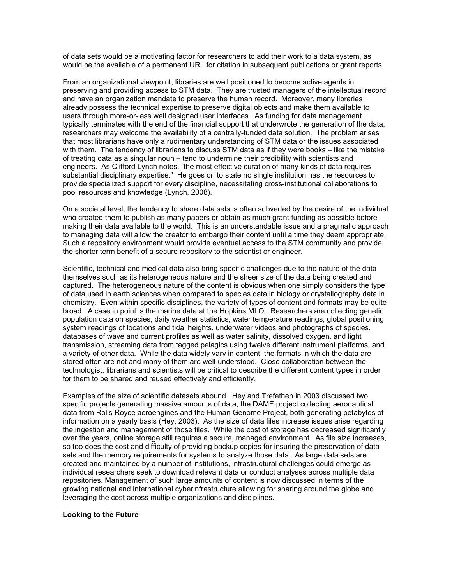of data sets would be a motivating factor for researchers to add their work to a data system, as would be the available of a permanent URL for citation in subsequent publications or grant reports.

From an organizational viewpoint, libraries are well positioned to become active agents in preserving and providing access to STM data. They are trusted managers of the intellectual record and have an organization mandate to preserve the human record. Moreover, many libraries already possess the technical expertise to preserve digital objects and make them available to users through more-or-less well designed user interfaces. As funding for data management typically terminates with the end of the financial support that underwrote the generation of the data, researchers may welcome the availability of a centrally-funded data solution. The problem arises that most librarians have only a rudimentary understanding of STM data or the issues associated with them. The tendency of librarians to discuss STM data as if they were books – like the mistake of treating data as a singular noun – tend to undermine their credibility with scientists and engineers. As Clifford Lynch notes, "the most effective curation of many kinds of data requires substantial disciplinary expertise." He goes on to state no single institution has the resources to provide specialized support for every discipline, necessitating cross-institutional collaborations to pool resources and knowledge (Lynch, 2008).

On a societal level, the tendency to share data sets is often subverted by the desire of the individual who created them to publish as many papers or obtain as much grant funding as possible before making their data available to the world. This is an understandable issue and a pragmatic approach to managing data will allow the creator to embargo their content until a time they deem appropriate. Such a repository environment would provide eventual access to the STM community and provide the shorter term benefit of a secure repository to the scientist or engineer.

Scientific, technical and medical data also bring specific challenges due to the nature of the data themselves such as its heterogeneous nature and the sheer size of the data being created and captured. The heterogeneous nature of the content is obvious when one simply considers the type of data used in earth sciences when compared to species data in biology or crystallography data in chemistry. Even within specific disciplines, the variety of types of content and formats may be quite broad. A case in point is the marine data at the Hopkins MLO. Researchers are collecting genetic population data on species, daily weather statistics, water temperature readings, global positioning system readings of locations and tidal heights, underwater videos and photographs of species, databases of wave and current profiles as well as water salinity, dissolved oxygen, and light transmission, streaming data from tagged pelagics using twelve different instrument platforms, and a variety of other data. While the data widely vary in content, the formats in which the data are stored often are not and many of them are well-understood. Close collaboration between the technologist, librarians and scientists will be critical to describe the different content types in order for them to be shared and reused effectively and efficiently.

Examples of the size of scientific datasets abound. Hey and Trefethen in 2003 discussed two specific projects generating massive amounts of data, the DAME project collecting aeronautical data from Rolls Royce aeroengines and the Human Genome Project, both generating petabytes of information on a yearly basis (Hey, 2003). As the size of data files increase issues arise regarding the ingestion and management of those files. While the cost of storage has decreased significantly over the years, online storage still requires a secure, managed environment. As file size increases, so too does the cost and difficulty of providing backup copies for insuring the preservation of data sets and the memory requirements for systems to analyze those data. As large data sets are created and maintained by a number of institutions, infrastructural challenges could emerge as individual researchers seek to download relevant data or conduct analyses across multiple data repositories. Management of such large amounts of content is now discussed in terms of the growing national and international cyberinfrastructure allowing for sharing around the globe and leveraging the cost across multiple organizations and disciplines.

#### **Looking to the Future**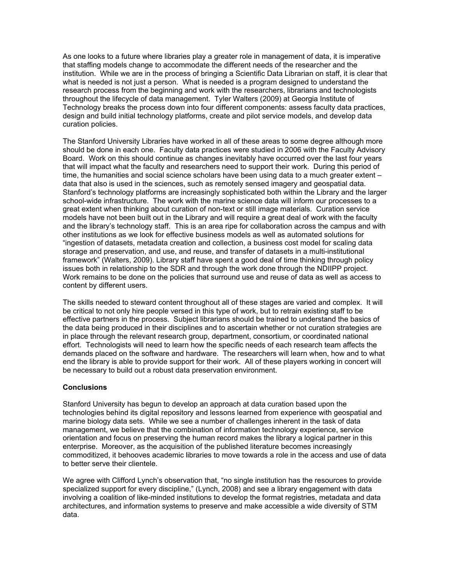As one looks to a future where libraries play a greater role in management of data, it is imperative that staffing models change to accommodate the different needs of the researcher and the institution. While we are in the process of bringing a Scientific Data Librarian on staff, it is clear that what is needed is not just a person. What is needed is a program designed to understand the research process from the beginning and work with the researchers, librarians and technologists throughout the lifecycle of data management. Tyler Walters (2009) at Georgia Institute of Technology breaks the process down into four different components: assess faculty data practices, design and build initial technology platforms, create and pilot service models, and develop data curation policies.

The Stanford University Libraries have worked in all of these areas to some degree although more should be done in each one. Faculty data practices were studied in 2006 with the Faculty Advisory Board. Work on this should continue as changes inevitably have occurred over the last four years that will impact what the faculty and researchers need to support their work. During this period of time, the humanities and social science scholars have been using data to a much greater extent – data that also is used in the sciences, such as remotely sensed imagery and geospatial data. Stanford's technology platforms are increasingly sophisticated both within the Library and the larger school-wide infrastructure. The work with the marine science data will inform our processes to a great extent when thinking about curation of non-text or still image materials. Curation service models have not been built out in the Library and will require a great deal of work with the faculty and the library's technology staff. This is an area ripe for collaboration across the campus and with other institutions as we look for effective business models as well as automated solutions for "ingestion of datasets, metadata creation and collection, a business cost model for scaling data storage and preservation, and use, and reuse, and transfer of datasets in a multi-institutional framework" (Walters, 2009). Library staff have spent a good deal of time thinking through policy issues both in relationship to the SDR and through the work done through the NDIIPP project. Work remains to be done on the policies that surround use and reuse of data as well as access to content by different users.

The skills needed to steward content throughout all of these stages are varied and complex. It will be critical to not only hire people versed in this type of work, but to retrain existing staff to be effective partners in the process. Subject librarians should be trained to understand the basics of the data being produced in their disciplines and to ascertain whether or not curation strategies are in place through the relevant research group, department, consortium, or coordinated national effort. Technologists will need to learn how the specific needs of each research team affects the demands placed on the software and hardware. The researchers will learn when, how and to what end the library is able to provide support for their work. All of these players working in concert will be necessary to build out a robust data preservation environment.

#### **Conclusions**

Stanford University has begun to develop an approach at data curation based upon the technologies behind its digital repository and lessons learned from experience with geospatial and marine biology data sets. While we see a number of challenges inherent in the task of data management, we believe that the combination of information technology experience, service orientation and focus on preserving the human record makes the library a logical partner in this enterprise. Moreover, as the acquisition of the published literature becomes increasingly commoditized, it behooves academic libraries to move towards a role in the access and use of data to better serve their clientele.

We agree with Clifford Lynch's observation that, "no single institution has the resources to provide specialized support for every discipline," (Lynch, 2008) and see a library engagement with data involving a coalition of like-minded institutions to develop the format registries, metadata and data architectures, and information systems to preserve and make accessible a wide diversity of STM data.